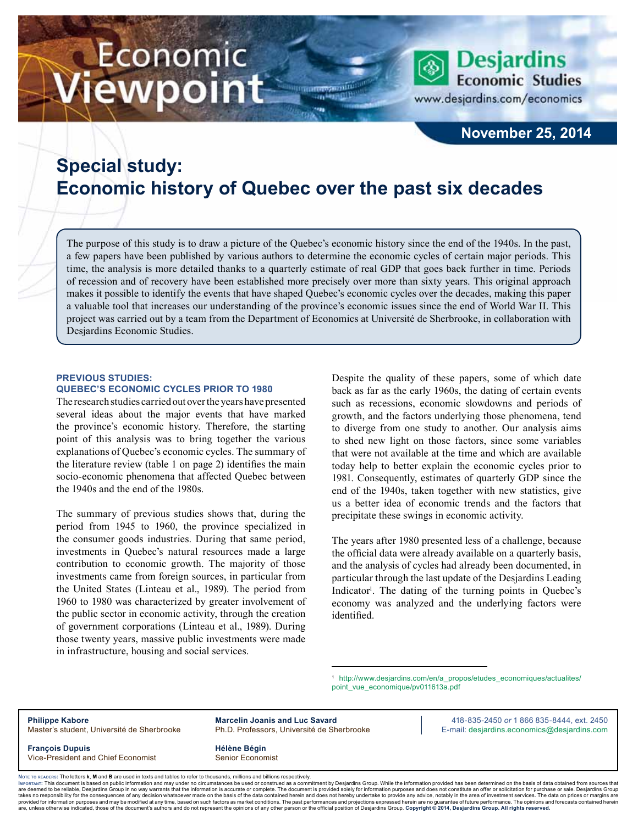# Economic ewpoint

www.desjardins.com/economics

**Desjardins** 

**Economic Studies** 

### **November 25, 2014**

## **Special study: Economic history of Quebec over the past six decades**

m

The purpose of this study is to draw a picture of the Quebec's economic history since the end of the 1940s. In the past, a few papers have been published by various authors to determine the economic cycles of certain major periods. This time, the analysis is more detailed thanks to a quarterly estimate of real GDP that goes back further in time. Periods of recession and of recovery have been established more precisely over more than sixty years. This original approach makes it possible to identify the events that have shaped Quebec's economic cycles over the decades, making this paper a valuable tool that increases our understanding of the province's economic issues since the end of World War II. This project was carried out by a team from the Department of Economics at Université de Sherbrooke, in collaboration with Desjardins Economic Studies.

### **Previous studies: Quebec's economic cycles prior to 1980**

The research studies carried out over the years have presented several ideas about the major events that have marked the province's economic history. Therefore, the starting point of this analysis was to bring together the various explanations of Quebec's economic cycles. The summary of the literature review (table 1 on page 2) identifies the main socio-economic phenomena that affected Quebec between the 1940s and the end of the 1980s.

The summary of previous studies shows that, during the period from 1945 to 1960, the province specialized in the consumer goods industries. During that same period, investments in Quebec's natural resources made a large contribution to economic growth. The majority of those investments came from foreign sources, in particular from the United States (Linteau et al., 1989). The period from 1960 to 1980 was characterized by greater involvement of the public sector in economic activity, through the creation of government corporations (Linteau et al., 1989). During those twenty years, massive public investments were made in infrastructure, housing and social services.

Despite the quality of these papers, some of which date back as far as the early 1960s, the dating of certain events such as recessions, economic slowdowns and periods of growth, and the factors underlying those phenomena, tend to diverge from one study to another. Our analysis aims to shed new light on those factors, since some variables that were not available at the time and which are available today help to better explain the economic cycles prior to 1981. Consequently, estimates of quarterly GDP since the end of the 1940s, taken together with new statistics, give us a better idea of economic trends and the factors that precipitate these swings in economic activity.

The years after 1980 presented less of a challenge, because the official data were already available on a quarterly basis, and the analysis of cycles had already been documented, in particular through the last update of the Desjardins Leading Indicator<sup>1</sup>. The dating of the turning points in Quebec's economy was analyzed and the underlying factors were identified.

1 http://www.desjardins.com/en/a\_propos/etudes\_economiques/actualites/ point\_vue\_economique/pv011613a.pdf

**Philippe Kabore <b>Marcelin Joanis and Luc Savard Acceleration 1866 835-8444**, ext. 2450 **Marcelin Joanis and Luc Savard Acceleration 1866 835-8444**, ext. 2450 Master's student, Université de Sherbrooke Ph.D. Professors, Université de Sherbrooke F-mail: desjardins.economics@desjardins.com

**François Dupuis Hélène Bégin** Vice-President and Chief Economist Senior Economist

Noте то келоекs: The letters **k, M** and **B** are used in texts and tables to refer to thousands, millions and billions respectively.<br>Імроктлит: This document is based on public information and may under no circumstances be are deemed to be reliable. Desiardins Group in no way warrants that the information is accurate or complete. The document is provided solely for information purposes and does not constitute an offer or solicitation for pur takes no responsibility for the consequences of any decision whatsoever made on the basis of the data contained herein and does not hereby undertake to provide any advice, notably in the area of investment services. The da .<br>are, unless otherwise indicated, those of the document's authors and do not represent the opinions of any other person or the official position of Desjardins Group. Copyright © 2014, Desjardins Group. All rights reserved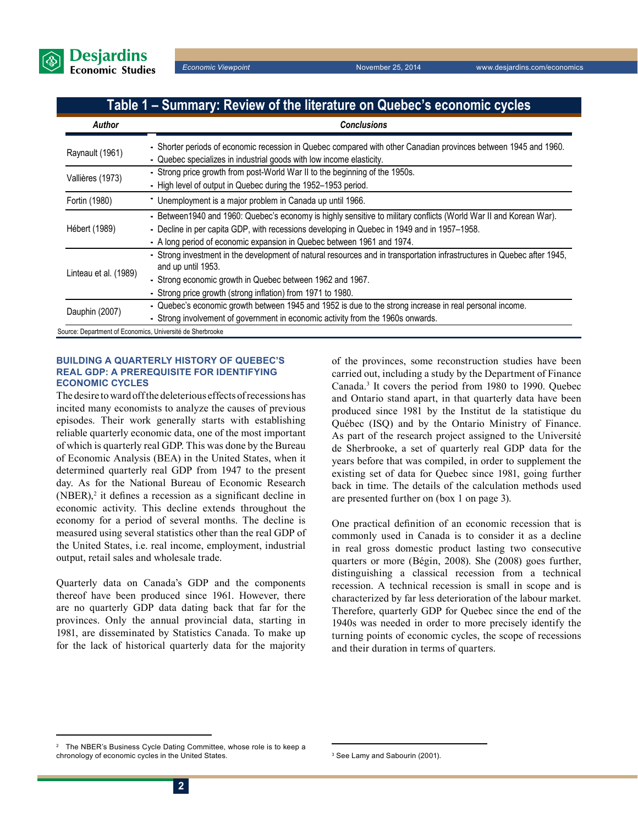

### **Table 1 – Summary: Review of the literature on Quebec's economic cycles**

| <b>Author</b>         | <b>Conclusions</b>                                                                                                                                                                                                                                                                         |  |
|-----------------------|--------------------------------------------------------------------------------------------------------------------------------------------------------------------------------------------------------------------------------------------------------------------------------------------|--|
| Raynault (1961)       | - Shorter periods of economic recession in Quebec compared with other Canadian provinces between 1945 and 1960.<br>- Quebec specializes in industrial goods with low income elasticity.                                                                                                    |  |
| Vallières (1973)      | - Strong price growth from post-World War II to the beginning of the 1950s.<br>- High level of output in Quebec during the 1952-1953 period.                                                                                                                                               |  |
| Fortin (1980)         | - Unemployment is a major problem in Canada up until 1966.                                                                                                                                                                                                                                 |  |
| Hébert (1989)         | - Between1940 and 1960: Quebec's economy is highly sensitive to military conflicts (World War II and Korean War).<br>- Decline in per capita GDP, with recessions developing in Quebec in 1949 and in 1957-1958.<br>- A long period of economic expansion in Quebec between 1961 and 1974. |  |
| Linteau et al. (1989) | - Strong investment in the development of natural resources and in transportation infrastructures in Quebec after 1945,<br>and up until 1953.<br>- Strong economic growth in Quebec between 1962 and 1967.<br>- Strong price growth (strong inflation) from 1971 to 1980.                  |  |
| Dauphin (2007)        | - Quebec's economic growth between 1945 and 1952 is due to the strong increase in real personal income.<br>- Strong involvement of government in economic activity from the 1960s onwards.                                                                                                 |  |

Source: Department of Economics, Université de Sherbrooke

### **Building a quarterly history of Quebec's real GDP: A prerequisite for identifying economic cycles**

The desire to ward off the deleterious effects of recessions has incited many economists to analyze the causes of previous episodes. Their work generally starts with establishing reliable quarterly economic data, one of the most important of which is quarterly real GDP. This was done by the Bureau of Economic Analysis (BEA) in the United States, when it determined quarterly real GDP from 1947 to the present day. As for the National Bureau of Economic Research  $(NBER)$ <sup>2</sup> it defines a recession as a significant decline in economic activity. This decline extends throughout the economy for a period of several months. The decline is measured using several statistics other than the real GDP of the United States, i.e. real income, employment, industrial output, retail sales and wholesale trade.

Quarterly data on Canada's GDP and the components thereof have been produced since 1961. However, there are no quarterly GDP data dating back that far for the provinces. Only the annual provincial data, starting in 1981, are disseminated by Statistics Canada. To make up for the lack of historical quarterly data for the majority of the provinces, some reconstruction studies have been carried out, including a study by the Department of Finance Canada.3 It covers the period from 1980 to 1990. Quebec and Ontario stand apart, in that quarterly data have been produced since 1981 by the Institut de la statistique du Québec (ISQ) and by the Ontario Ministry of Finance. As part of the research project assigned to the Université de Sherbrooke, a set of quarterly real GDP data for the years before that was compiled, in order to supplement the existing set of data for Quebec since 1981, going further back in time. The details of the calculation methods used are presented further on (box 1 on page 3).

One practical definition of an economic recession that is commonly used in Canada is to consider it as a decline in real gross domestic product lasting two consecutive quarters or more (Bégin, 2008). She (2008) goes further, distinguishing a classical recession from a technical recession. A technical recession is small in scope and is characterized by far less deterioration of the labour market. Therefore, quarterly GDP for Quebec since the end of the 1940s was needed in order to more precisely identify the turning points of economic cycles, the scope of recessions and their duration in terms of quarters.

<sup>2</sup> The NBER's Business Cycle Dating Committee, whose role is to keep a chronology of economic cycles in the United States. <sup>3</sup>

<sup>&</sup>lt;sup>3</sup> See Lamy and Sabourin (2001).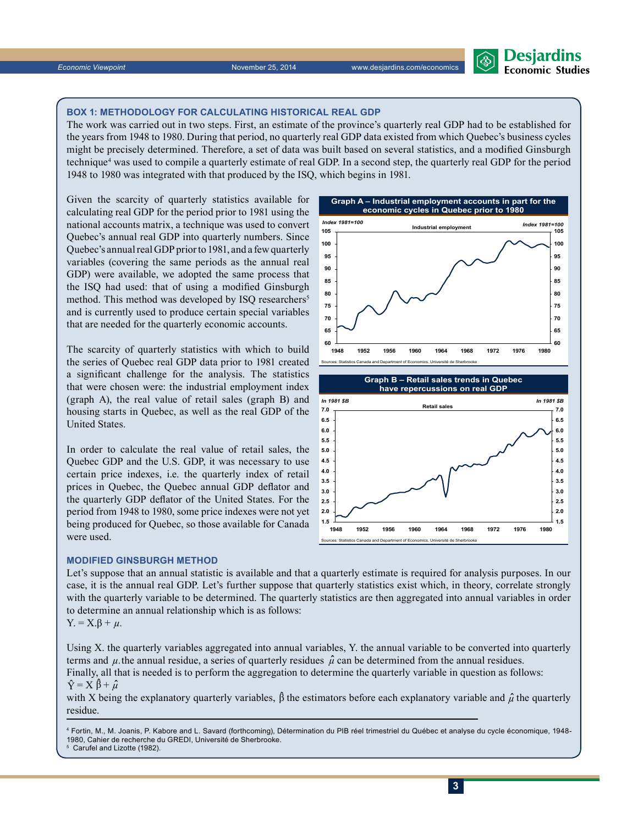### **Box 1: Methodology for calculating historical real GDP**

The work was carried out in two steps. First, an estimate of the province's quarterly real GDP had to be established for the years from 1948 to 1980. During that period, no quarterly real GDP data existed from which Quebec's business cycles might be precisely determined. Therefore, a set of data was built based on several statistics, and a modified Ginsburgh technique4 was used to compile a quarterly estimate of real GDP. In a second step, the quarterly real GDP for the period 1948 to 1980 was integrated with that produced by the ISQ, which begins in 1981.

Given the scarcity of quarterly statistics available for calculating real GDP for the period prior to 1981 using the national accounts matrix, a technique was used to convert Quebec's annual real GDP into quarterly numbers. Since Quebec's annual real GDP prior to 1981, and a few quarterly variables (covering the same periods as the annual real GDP) were available, we adopted the same process that the ISQ had used: that of using a modified Ginsburgh method. This method was developed by ISQ researchers<sup>5</sup> and is currently used to produce certain special variables that are needed for the quarterly economic accounts.

The scarcity of quarterly statistics with which to build the series of Quebec real GDP data prior to 1981 created a significant challenge for the analysis. The statistics that were chosen were: the industrial employment index (graph A), the real value of retail sales (graph B) and housing starts in Quebec, as well as the real GDP of the United States.

In order to calculate the real value of retail sales, the Quebec GDP and the U.S. GDP, it was necessary to use certain price indexes, i.e. the quarterly index of retail prices in Quebec, the Quebec annual GDP deflator and the quarterly GDP deflator of the United States. For the period from 1948 to 1980, some price indexes were not yet being produced for Quebec, so those available for Canada were used.

**Modified Ginsburgh method**

Let's suppose that an annual statistic is available and that a quarterly estimate is required for analysis purposes. In our case, it is the annual real GDP. Let's further suppose that quarterly statistics exist which, in theory, correlate strongly with the quarterly variable to be determined. The quarterly statistics are then aggregated into annual variables in order to determine an annual relationship which is as follows:

**1.5 2.0 2.5 3.0 3.5 4.0**

Y. = X.β + *µ.*

Using X. the quarterly variables aggregated into annual variables, Y. the annual variable to be converted into quarterly terms and  $\mu$  the annual residue, a series of quarterly residues  $\hat{\mu}$  can be determined from the annual residues.

Finally, all that is needed is to perform the aggregation to determine the quarterly variable in question as follows:  $\hat{Y} = X \hat{\beta} + \hat{\mu}$ 

with X being the explanatory quarterly variables,  $\hat{\beta}$  the estimators before each explanatory variable and  $\hat{\mu}$  the quarterly residue.

4 Fortin, M., M. Joanis, P. Kabore and L. Savard (forthcoming), Détermination du PIB réel trimestriel du Québec et analyse du cycle économique, 1948- 1980, Cahier de recherche du GREDI, Université de Sherbrooke. 5 Carufel and Lizotte (1982).



**1948 1952 1956 1960 1964 1968 1972 1976 1980**

s<br>Canada and Department of Economics, Université de Sherbr

**Desjardins Economic Studies** 

> **1.5 2.0 2.5 3.0 3.5 4.0**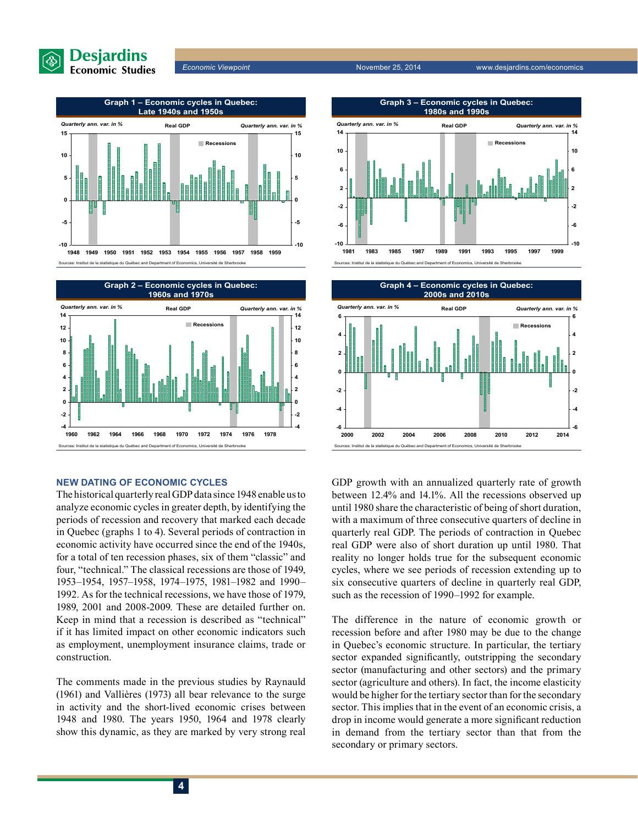





### **New dating of economic cycles**

The historical quarterly real GDP data since 1948 enable us to analyze economic cycles in greater depth, by identifying the periods of recession and recovery that marked each decade in Quebec (graphs 1 to 4). Several periods of contraction in economic activity have occurred since the end of the 1940s, for a total of ten recession phases, six of them "classic" and four, "technical." The classical recessions are those of 1949, 1953–1954, 1957–1958, 1974–1975, 1981–1982 and 1990– 1992. As for the technical recessions, we have those of 1979, 1989, 2001 and 2008-2009. These are detailed further on. Keep in mind that a recession is described as "technical" if it has limited impact on other economic indicators such as employment, unemployment insurance claims, trade or construction.

The comments made in the previous studies by Raynauld (1961) and Vallières (1973) all bear relevance to the surge in activity and the short-lived economic crises between 1948 and 1980. The years 1950, 1964 and 1978 clearly show this dynamic, as they are marked by very strong real





GDP growth with an annualized quarterly rate of growth between 12.4% and 14.1%. All the recessions observed up until 1980 share the characteristic of being of short duration, with a maximum of three consecutive quarters of decline in quarterly real GDP. The periods of contraction in Quebec real GDP were also of short duration up until 1980. That reality no longer holds true for the subsequent economic cycles, where we see periods of recession extending up to six consecutive quarters of decline in quarterly real GDP, such as the recession of 1990–1992 for example.

The difference in the nature of economic growth or recession before and after 1980 may be due to the change in Quebec's economic structure. In particular, the tertiary sector expanded significantly, outstripping the secondary sector (manufacturing and other sectors) and the primary sector (agriculture and others). In fact, the income elasticity would be higher for the tertiary sector than for the secondary sector. This implies that in the event of an economic crisis, a drop in income would generate a more significant reduction in demand from the tertiary sector than that from the secondary or primary sectors.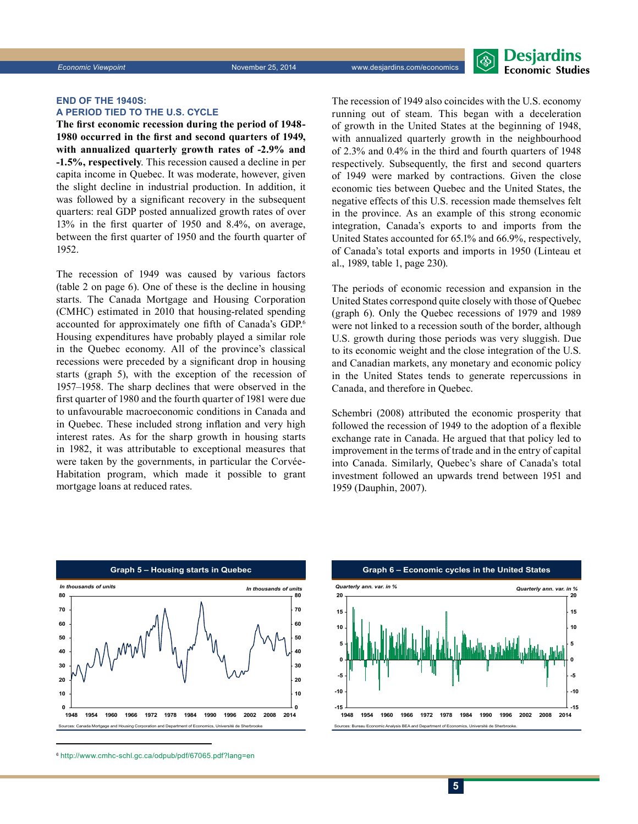### **End of the 1940s: A period tied to the U.S. cycle**

**The first economic recession during the period of 1948- 1980 occurred in the first and second quarters of 1949, with annualized quarterly growth rates of -2.9% and -1.5%, respectively**. This recession caused a decline in per capita income in Quebec. It was moderate, however, given the slight decline in industrial production. In addition, it was followed by a significant recovery in the subsequent quarters: real GDP posted annualized growth rates of over 13% in the first quarter of 1950 and 8.4%, on average, between the first quarter of 1950 and the fourth quarter of 1952.

The recession of 1949 was caused by various factors (table 2 on page 6). One of these is the decline in housing starts. The Canada Mortgage and Housing Corporation (CMHC) estimated in 2010 that housing-related spending accounted for approximately one fifth of Canada's GDP.<sup>6</sup> Housing expenditures have probably played a similar role in the Quebec economy. All of the province's classical recessions were preceded by a significant drop in housing starts (graph 5), with the exception of the recession of 1957–1958. The sharp declines that were observed in the first quarter of 1980 and the fourth quarter of 1981 were due to unfavourable macroeconomic conditions in Canada and in Quebec. These included strong inflation and very high interest rates. As for the sharp growth in housing starts in 1982, it was attributable to exceptional measures that were taken by the governments, in particular the Corvée-Habitation program, which made it possible to grant mortgage loans at reduced rates.

The recession of 1949 also coincides with the U.S. economy running out of steam. This began with a deceleration of growth in the United States at the beginning of 1948, with annualized quarterly growth in the neighbourhood of 2.3% and 0.4% in the third and fourth quarters of 1948 respectively. Subsequently, the first and second quarters of 1949 were marked by contractions. Given the close economic ties between Quebec and the United States, the negative effects of this U.S. recession made themselves felt in the province. As an example of this strong economic integration, Canada's exports to and imports from the United States accounted for 65.1% and 66.9%, respectively, of Canada's total exports and imports in 1950 (Linteau et al., 1989, table 1, page 230).

The periods of economic recession and expansion in the United States correspond quite closely with those of Quebec (graph 6). Only the Quebec recessions of 1979 and 1989 were not linked to a recession south of the border, although U.S. growth during those periods was very sluggish. Due to its economic weight and the close integration of the U.S. and Canadian markets, any monetary and economic policy in the United States tends to generate repercussions in Canada, and therefore in Quebec.

Schembri (2008) attributed the economic prosperity that followed the recession of 1949 to the adoption of a flexible exchange rate in Canada. He argued that that policy led to improvement in the terms of trade and in the entry of capital into Canada. Similarly, Quebec's share of Canada's total investment followed an upwards trend between 1951 and 1959 (Dauphin, 2007).



<sup>6</sup> http://www.cmhc-schl.gc.ca/odpub/pdf/67065.pdf?lang=en

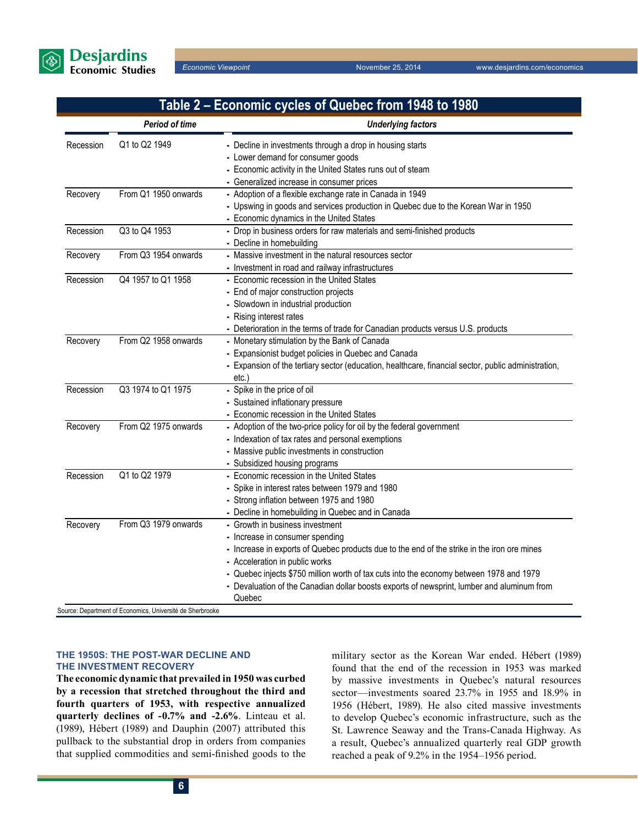

# **Table 2 – Economic cycles of Quebec from 1948 to 1980**

|           | Period of time       | <b>Underlying factors</b>                                                                                                                                                                                                                                                                                                                                                                              |
|-----------|----------------------|--------------------------------------------------------------------------------------------------------------------------------------------------------------------------------------------------------------------------------------------------------------------------------------------------------------------------------------------------------------------------------------------------------|
| Recession | Q1 to Q2 1949        | - Decline in investments through a drop in housing starts<br>- Lower demand for consumer goods<br>- Economic activity in the United States runs out of steam<br>- Generalized increase in consumer prices                                                                                                                                                                                              |
| Recovery  | From Q1 1950 onwards | - Adoption of a flexible exchange rate in Canada in 1949<br>- Upswing in goods and services production in Quebec due to the Korean War in 1950<br>- Economic dynamics in the United States                                                                                                                                                                                                             |
| Recession | Q3 to Q4 1953        | - Drop in business orders for raw materials and semi-finished products<br>- Decline in homebuilding                                                                                                                                                                                                                                                                                                    |
| Recovery  | From Q3 1954 onwards | - Massive investment in the natural resources sector<br>- Investment in road and railway infrastructures                                                                                                                                                                                                                                                                                               |
| Recession | Q4 1957 to Q1 1958   | - Economic recession in the United States<br>- End of major construction projects<br>- Slowdown in industrial production<br>- Rising interest rates<br>- Deterioration in the terms of trade for Canadian products versus U.S. products                                                                                                                                                                |
| Recovery  | From Q2 1958 onwards | - Monetary stimulation by the Bank of Canada<br>- Expansionist budget policies in Quebec and Canada<br>- Expansion of the tertiary sector (education, healthcare, financial sector, public administration,<br>etc.)                                                                                                                                                                                    |
| Recession | Q3 1974 to Q1 1975   | - Spike in the price of oil<br>- Sustained inflationary pressure<br>- Economic recession in the United States                                                                                                                                                                                                                                                                                          |
| Recovery  | From Q2 1975 onwards | - Adoption of the two-price policy for oil by the federal government<br>- Indexation of tax rates and personal exemptions<br>- Massive public investments in construction<br>- Subsidized housing programs                                                                                                                                                                                             |
| Recession | Q1 to Q2 1979        | - Economic recession in the United States<br>- Spike in interest rates between 1979 and 1980<br>- Strong inflation between 1975 and 1980<br>- Decline in homebuilding in Quebec and in Canada                                                                                                                                                                                                          |
| Recovery  | From Q3 1979 onwards | - Growth in business investment<br>- Increase in consumer spending<br>- Increase in exports of Quebec products due to the end of the strike in the iron ore mines<br>- Acceleration in public works<br>- Quebec injects \$750 million worth of tax cuts into the economy between 1978 and 1979<br>- Devaluation of the Canadian dollar boosts exports of newsprint, lumber and aluminum from<br>Quebec |

Source: Department of Economics, Université de Sherbrooke

### **The 1950s: The post-war decline and the investment recovery**

**The economic dynamic that prevailed in 1950 was curbed by a recession that stretched throughout the third and fourth quarters of 1953, with respective annualized quarterly declines of -0.7% and -2.6%**. Linteau et al. (1989), Hébert (1989) and Dauphin (2007) attributed this pullback to the substantial drop in orders from companies that supplied commodities and semi-finished goods to the military sector as the Korean War ended. Hébert (1989) found that the end of the recession in 1953 was marked by massive investments in Quebec's natural resources sector—investments soared 23.7% in 1955 and 18.9% in 1956 (Hébert, 1989). He also cited massive investments to develop Quebec's economic infrastructure, such as the St. Lawrence Seaway and the Trans-Canada Highway. As a result, Quebec's annualized quarterly real GDP growth reached a peak of 9.2% in the 1954–1956 period.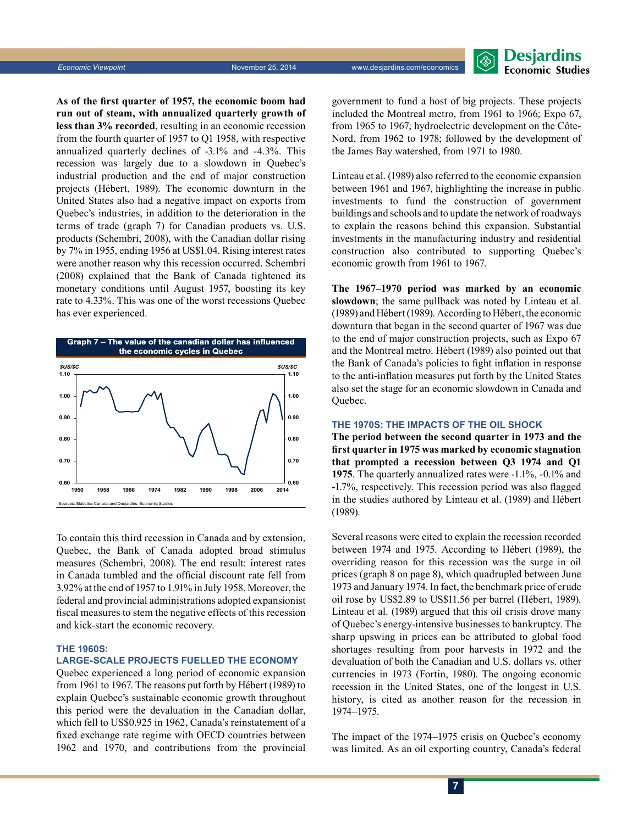

**As of the first quarter of 1957, the economic boom had run out of steam, with annualized quarterly growth of less than 3% recorded**, resulting in an economic recession from the fourth quarter of 1957 to Q1 1958, with respective annualized quarterly declines of -3.1% and -4.3%. This recession was largely due to a slowdown in Quebec's industrial production and the end of major construction projects (Hébert, 1989). The economic downturn in the United States also had a negative impact on exports from Quebec's industries, in addition to the deterioration in the terms of trade (graph 7) for Canadian products vs. U.S. products (Schembri, 2008), with the Canadian dollar rising by 7% in 1955, ending 1956 at US\$1.04. Rising interest rates were another reason why this recession occurred. Schembri (2008) explained that the Bank of Canada tightened its monetary conditions until August 1957, boosting its key rate to 4.33%. This was one of the worst recessions Quebec has ever experienced.



To contain this third recession in Canada and by extension, Quebec, the Bank of Canada adopted broad stimulus measures (Schembri, 2008). The end result: interest rates in Canada tumbled and the official discount rate fell from 3.92% at the end of 1957 to 1.91% in July 1958. Moreover, the federal and provincial administrations adopted expansionist fiscal measures to stem the negative effects of this recession and kick-start the economic recovery.

### **The 1960s:**

### **Large-scale projects fuelled the economy**

Quebec experienced a long period of economic expansion from 1961 to 1967. The reasons put forth by Hébert (1989) to explain Quebec's sustainable economic growth throughout this period were the devaluation in the Canadian dollar, which fell to US\$0.925 in 1962, Canada's reinstatement of a fixed exchange rate regime with OECD countries between 1962 and 1970, and contributions from the provincial government to fund a host of big projects. These projects included the Montreal metro, from 1961 to 1966; Expo 67, from 1965 to 1967; hydroelectric development on the Côte-Nord, from 1962 to 1978; followed by the development of the James Bay watershed, from 1971 to 1980.

Linteau et al. (1989) also referred to the economic expansion between 1961 and 1967, highlighting the increase in public investments to fund the construction of government buildings and schools and to update the network of roadways to explain the reasons behind this expansion. Substantial investments in the manufacturing industry and residential construction also contributed to supporting Quebec's economic growth from 1961 to 1967.

**The 1967–1970 period was marked by an economic slowdown**; the same pullback was noted by Linteau et al. (1989) and Hébert (1989). According to Hébert, the economic downturn that began in the second quarter of 1967 was due to the end of major construction projects, such as Expo 67 and the Montreal metro. Hébert (1989) also pointed out that the Bank of Canada's policies to fight inflation in response to the anti-inflation measures put forth by the United States also set the stage for an economic slowdown in Canada and Quebec.

### **The 1970s: The impacts of the oil shock**

**The period between the second quarter in 1973 and the first quarter in 1975 was marked by economic stagnation that prompted a recession between Q3 1974 and Q1 1975**. The quarterly annualized rates were -1.1%, -0.1% and -1.7%, respectively. This recession period was also flagged in the studies authored by Linteau et al. (1989) and Hébert (1989).

Several reasons were cited to explain the recession recorded between 1974 and 1975. According to Hébert (1989), the overriding reason for this recession was the surge in oil prices (graph 8 on page 8), which quadrupled between June 1973 and January 1974. In fact, the benchmark price of crude oil rose by US\$2.89 to US\$11.56 per barrel (Hébert, 1989). Linteau et al. (1989) argued that this oil crisis drove many of Quebec's energy-intensive businesses to bankruptcy. The sharp upswing in prices can be attributed to global food shortages resulting from poor harvests in 1972 and the devaluation of both the Canadian and U.S. dollars vs. other currencies in 1973 (Fortin, 1980). The ongoing economic recession in the United States, one of the longest in U.S. history, is cited as another reason for the recession in 1974–1975.

The impact of the 1974–1975 crisis on Quebec's economy was limited. As an oil exporting country, Canada's federal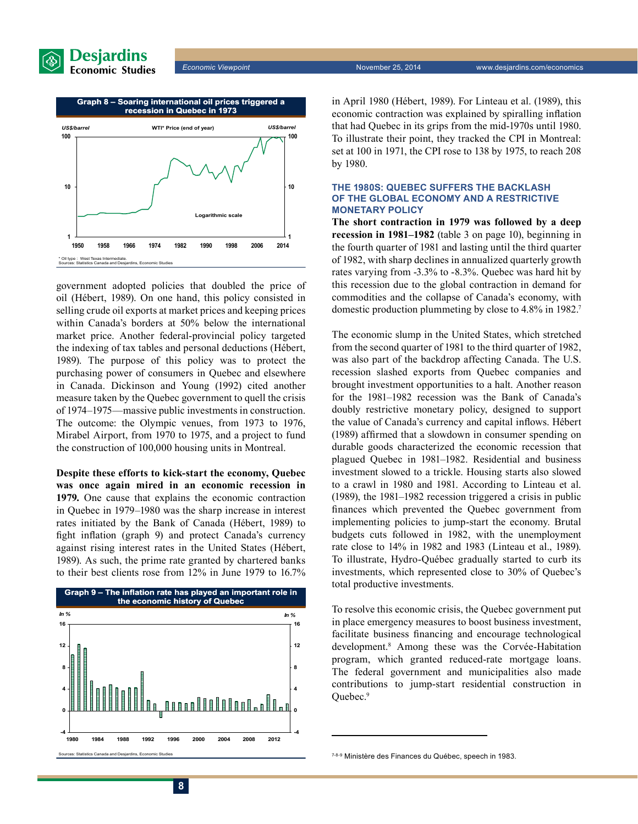



government adopted policies that doubled the price of oil (Hébert, 1989). On one hand, this policy consisted in selling crude oil exports at market prices and keeping prices within Canada's borders at 50% below the international market price. Another federal-provincial policy targeted the indexing of tax tables and personal deductions (Hébert, 1989). The purpose of this policy was to protect the purchasing power of consumers in Quebec and elsewhere in Canada. Dickinson and Young (1992) cited another measure taken by the Quebec government to quell the crisis of 1974–1975—massive public investments in construction. The outcome: the Olympic venues, from 1973 to 1976, Mirabel Airport, from 1970 to 1975, and a project to fund the construction of 100,000 housing units in Montreal.

**Despite these efforts to kick-start the economy, Quebec was once again mired in an economic recession in 1979.** One cause that explains the economic contraction in Quebec in 1979–1980 was the sharp increase in interest rates initiated by the Bank of Canada (Hébert, 1989) to fight inflation (graph 9) and protect Canada's currency against rising interest rates in the United States (Hébert, 1989). As such, the prime rate granted by chartered banks to their best clients rose from 12% in June 1979 to 16.7%



in April 1980 (Hébert, 1989). For Linteau et al. (1989), this economic contraction was explained by spiralling inflation that had Quebec in its grips from the mid-1970s until 1980. To illustrate their point, they tracked the CPI in Montreal: set at 100 in 1971, the CPI rose to 138 by 1975, to reach 208 by 1980.

### **The 1980s: Quebec suffers the backlash of the global economy and a restrictive monetary policy**

**The short contraction in 1979 was followed by a deep recession in 1981–1982** (table 3 on page 10), beginning in the fourth quarter of 1981 and lasting until the third quarter of 1982, with sharp declines in annualized quarterly growth rates varying from -3.3% to -8.3%. Quebec was hard hit by this recession due to the global contraction in demand for commodities and the collapse of Canada's economy, with domestic production plummeting by close to 4.8% in 1982.7

The economic slump in the United States, which stretched from the second quarter of 1981 to the third quarter of 1982, was also part of the backdrop affecting Canada. The U.S. recession slashed exports from Quebec companies and brought investment opportunities to a halt. Another reason for the 1981–1982 recession was the Bank of Canada's doubly restrictive monetary policy, designed to support the value of Canada's currency and capital inflows. Hébert (1989) affirmed that a slowdown in consumer spending on durable goods characterized the economic recession that plagued Quebec in 1981–1982. Residential and business investment slowed to a trickle. Housing starts also slowed to a crawl in 1980 and 1981. According to Linteau et al. (1989), the 1981–1982 recession triggered a crisis in public finances which prevented the Quebec government from implementing policies to jump-start the economy. Brutal budgets cuts followed in 1982, with the unemployment rate close to 14% in 1982 and 1983 (Linteau et al., 1989). To illustrate, Hydro-Québec gradually started to curb its investments, which represented close to 30% of Quebec's total productive investments.

To resolve this economic crisis, the Quebec government put in place emergency measures to boost business investment, facilitate business financing and encourage technological development.8 Among these was the Corvée-Habitation program, which granted reduced-rate mortgage loans. The federal government and municipalities also made contributions to jump-start residential construction in Quebec.9

<sup>&</sup>lt;sup>7-8-9</sup> Ministère des Finances du Québec, speech in 1983.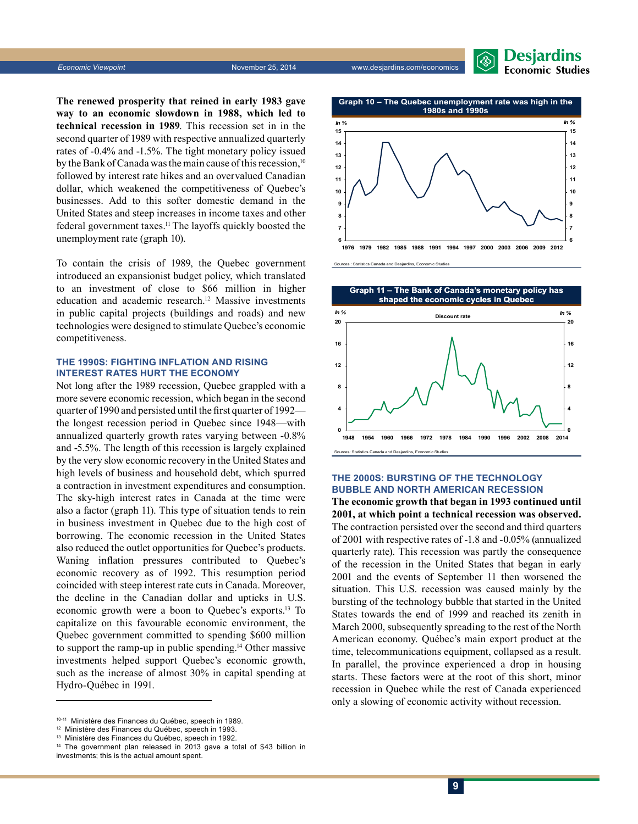

**The renewed prosperity that reined in early 1983 gave way to an economic slowdown in 1988, which led to technical recession in 1989**. This recession set in in the second quarter of 1989 with respective annualized quarterly rates of -0.4% and -1.5%. The tight monetary policy issued by the Bank of Canada was the main cause of this recession,<sup>10</sup> followed by interest rate hikes and an overvalued Canadian dollar, which weakened the competitiveness of Quebec's businesses. Add to this softer domestic demand in the United States and steep increases in income taxes and other federal government taxes.11 The layoffs quickly boosted the unemployment rate (graph 10).

To contain the crisis of 1989, the Quebec government introduced an expansionist budget policy, which translated to an investment of close to \$66 million in higher education and academic research.<sup>12</sup> Massive investments in public capital projects (buildings and roads) and new technologies were designed to stimulate Quebec's economic competitiveness.

### **The 1990s: Fighting inflation and rising interest rates hurt the economy**

Not long after the 1989 recession, Quebec grappled with a more severe economic recession, which began in the second quarter of 1990 and persisted until the first quarter of 1992 the longest recession period in Quebec since 1948—with annualized quarterly growth rates varying between -0.8% and -5.5%. The length of this recession is largely explained by the very slow economic recovery in the United States and high levels of business and household debt, which spurred a contraction in investment expenditures and consumption. The sky-high interest rates in Canada at the time were also a factor (graph 11). This type of situation tends to rein in business investment in Quebec due to the high cost of borrowing. The economic recession in the United States also reduced the outlet opportunities for Quebec's products. Waning inflation pressures contributed to Quebec's economic recovery as of 1992. This resumption period coincided with steep interest rate cuts in Canada. Moreover, the decline in the Canadian dollar and upticks in U.S. economic growth were a boon to Quebec's exports.13 To capitalize on this favourable economic environment, the Quebec government committed to spending \$600 million to support the ramp-up in public spending.14 Other massive investments helped support Quebec's economic growth, such as the increase of almost 30% in capital spending at Hydro-Québec in 1991.



da and Desj



### **The 2000s: Bursting of the technology bubble and North American recession**

**The economic growth that began in 1993 continued until 2001, at which point a technical recession was observed.**  The contraction persisted over the second and third quarters of 2001 with respective rates of -1.8 and -0.05% (annualized quarterly rate). This recession was partly the consequence of the recession in the United States that began in early 2001 and the events of September 11 then worsened the situation. This U.S. recession was caused mainly by the bursting of the technology bubble that started in the United States towards the end of 1999 and reached its zenith in March 2000, subsequently spreading to the rest of the North American economy. Québec's main export product at the time, telecommunications equipment, collapsed as a result. In parallel, the province experienced a drop in housing starts. These factors were at the root of this short, minor recession in Quebec while the rest of Canada experienced only a slowing of economic activity without recession.

<sup>10-11</sup> Ministère des Finances du Québec, speech in 1989.

<sup>12</sup> Ministère des Finances du Québec, speech in 1993.

<sup>13</sup> Ministère des Finances du Québec, speech in 1992.

<sup>&</sup>lt;sup>14</sup> The government plan released in 2013 gave a total of \$43 billion in investments; this is the actual amount spent.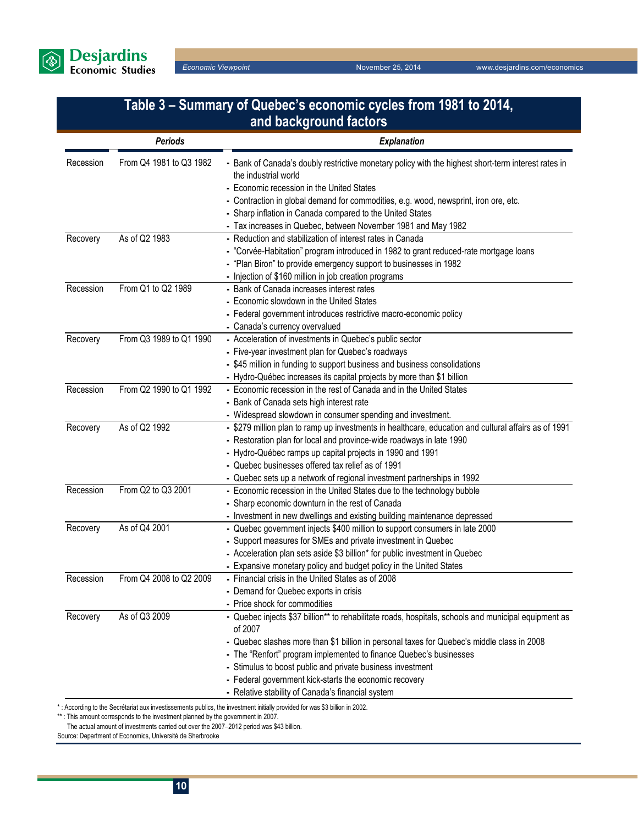

| Table 3 – Summary of Quebec's economic cycles from 1981 to 2014,<br>and background factors |                         |                                                                                                                                                                                                                                                                                                                                                                                                                                                                  |  |
|--------------------------------------------------------------------------------------------|-------------------------|------------------------------------------------------------------------------------------------------------------------------------------------------------------------------------------------------------------------------------------------------------------------------------------------------------------------------------------------------------------------------------------------------------------------------------------------------------------|--|
|                                                                                            | <b>Periods</b>          | <b>Explanation</b>                                                                                                                                                                                                                                                                                                                                                                                                                                               |  |
| Recession                                                                                  | From Q4 1981 to Q3 1982 | - Bank of Canada's doubly restrictive monetary policy with the highest short-term interest rates in<br>the industrial world<br>- Economic recession in the United States<br>- Contraction in global demand for commodities, e.g. wood, newsprint, iron ore, etc.<br>- Sharp inflation in Canada compared to the United States<br>- Tax increases in Quebec, between November 1981 and May 1982                                                                   |  |
| Recovery                                                                                   | As of Q2 1983           | - Reduction and stabilization of interest rates in Canada<br>- "Corvée-Habitation" program introduced in 1982 to grant reduced-rate mortgage loans<br>- "Plan Biron" to provide emergency support to businesses in 1982<br>- Injection of \$160 million in job creation programs                                                                                                                                                                                 |  |
| Recession                                                                                  | From Q1 to Q2 1989      | - Bank of Canada increases interest rates<br>- Economic slowdown in the United States<br>- Federal government introduces restrictive macro-economic policy<br>- Canada's currency overvalued                                                                                                                                                                                                                                                                     |  |
| Recovery                                                                                   | From Q3 1989 to Q1 1990 | - Acceleration of investments in Quebec's public sector<br>- Five-year investment plan for Quebec's roadways<br>- \$45 million in funding to support business and business consolidations<br>- Hydro-Québec increases its capital projects by more than \$1 billion                                                                                                                                                                                              |  |
| Recession                                                                                  | From Q2 1990 to Q1 1992 | - Economic recession in the rest of Canada and in the United States<br>- Bank of Canada sets high interest rate<br>- Widespread slowdown in consumer spending and investment.                                                                                                                                                                                                                                                                                    |  |
| Recovery                                                                                   | As of Q2 1992           | - \$279 million plan to ramp up investments in healthcare, education and cultural affairs as of 1991<br>- Restoration plan for local and province-wide roadways in late 1990<br>- Hydro-Québec ramps up capital projects in 1990 and 1991<br>- Quebec businesses offered tax relief as of 1991<br>- Quebec sets up a network of regional investment partnerships in 1992                                                                                         |  |
| Recession                                                                                  | From Q2 to Q3 2001      | - Economic recession in the United States due to the technology bubble<br>- Sharp economic downturn in the rest of Canada<br>- Investment in new dwellings and existing building maintenance depressed                                                                                                                                                                                                                                                           |  |
| Recovery                                                                                   | As of Q4 2001           | - Quebec government injects \$400 million to support consumers in late 2000<br>- Support measures for SMEs and private investment in Quebec<br>- Acceleration plan sets aside \$3 billion* for public investment in Quebec<br>- Expansive monetary policy and budget policy in the United States                                                                                                                                                                 |  |
| Recession                                                                                  | From Q4 2008 to Q2 2009 | - Financial crisis in the United States as of 2008<br>- Demand for Quebec exports in crisis<br>- Price shock for commodities                                                                                                                                                                                                                                                                                                                                     |  |
| Recovery                                                                                   | As of Q3 2009           | - Quebec injects \$37 billion** to rehabilitate roads, hospitals, schools and municipal equipment as<br>of 2007<br>- Quebec slashes more than \$1 billion in personal taxes for Quebec's middle class in 2008<br>- The "Renfort" program implemented to finance Quebec's businesses<br>- Stimulus to boost public and private business investment<br>- Federal government kick-starts the economic recovery<br>- Relative stability of Canada's financial system |  |

\* : According to the Secrétariat aux investissements publics, the investment initially provided for was \$3 billion in 2002.

\*\* : This amount corresponds to the investment planned by the government in 2007.

The actual amount of investments carried out over the 2007–2012 period was \$43 billion.

Source: Department of Economics, Université de Sherbrooke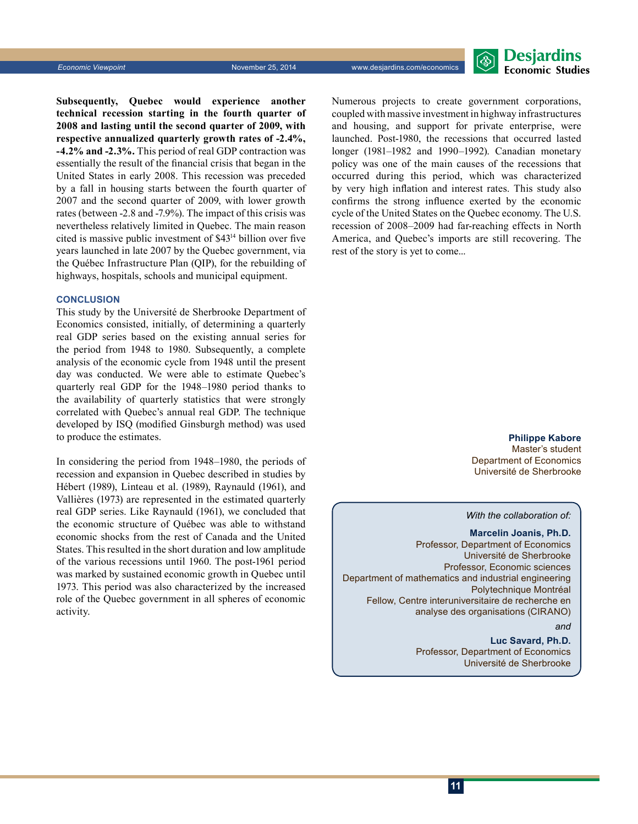

**Subsequently, Quebec would experience another technical recession starting in the fourth quarter of 2008 and lasting until the second quarter of 2009, with respective annualized quarterly growth rates of -2.4%, -4.2% and -2.3%.** This period of real GDP contraction was essentially the result of the financial crisis that began in the United States in early 2008. This recession was preceded by a fall in housing starts between the fourth quarter of 2007 and the second quarter of 2009, with lower growth rates (between -2.8 and -7.9%). The impact of this crisis was nevertheless relatively limited in Quebec. The main reason cited is massive public investment of \$4314 billion over five years launched in late 2007 by the Quebec government, via the Québec Infrastructure Plan (QIP), for the rebuilding of highways, hospitals, schools and municipal equipment.

### **CONCLUSION**

This study by the Université de Sherbrooke Department of Economics consisted, initially, of determining a quarterly real GDP series based on the existing annual series for the period from 1948 to 1980. Subsequently, a complete analysis of the economic cycle from 1948 until the present day was conducted. We were able to estimate Quebec's quarterly real GDP for the 1948–1980 period thanks to the availability of quarterly statistics that were strongly correlated with Quebec's annual real GDP. The technique developed by ISQ (modified Ginsburgh method) was used to produce the estimates.

In considering the period from 1948–1980, the periods of recession and expansion in Quebec described in studies by Hébert (1989), Linteau et al. (1989), Raynauld (1961), and Vallières (1973) are represented in the estimated quarterly real GDP series. Like Raynauld (1961), we concluded that the economic structure of Québec was able to withstand economic shocks from the rest of Canada and the United States. This resulted in the short duration and low amplitude of the various recessions until 1960. The post-1961 period was marked by sustained economic growth in Quebec until 1973. This period was also characterized by the increased role of the Quebec government in all spheres of economic activity.

Numerous projects to create government corporations, coupled with massive investment in highway infrastructures and housing, and support for private enterprise, were launched. Post-1980, the recessions that occurred lasted longer (1981–1982 and 1990–1992). Canadian monetary policy was one of the main causes of the recessions that occurred during this period, which was characterized by very high inflation and interest rates. This study also confirms the strong influence exerted by the economic cycle of the United States on the Quebec economy. The U.S. recession of 2008–2009 had far-reaching effects in North America, and Quebec's imports are still recovering. The rest of the story is yet to come...

> **Philippe Kabore** Master's student Department of Economics Université de Sherbrooke

### *With the collaboration of:*

**Marcelin Joanis, Ph.D.** Professor, Department of Economics Université de Sherbrooke Professor, Economic sciences Department of mathematics and industrial engineering Polytechnique Montréal Fellow, Centre interuniversitaire de recherche en analyse des organisations (CIRANO)

*and*

**Luc Savard, Ph.D.** Professor, Department of Economics Université de Sherbrooke